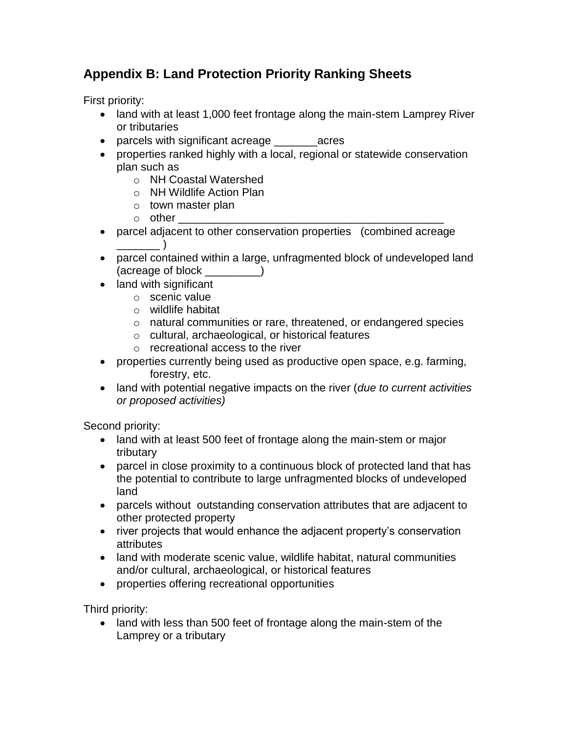## **Appendix B: Land Protection Priority Ranking Sheets**

First priority:

- land with at least 1,000 feet frontage along the main-stem Lamprey River or tributaries
- parcels with significant acreage exercise
- properties ranked highly with a local, regional or statewide conservation plan such as
	- o NH Coastal Watershed
	- o NH Wildlife Action Plan
	- o town master plan
	- $\circ$  other
- parcel adjacent to other conservation properties (combined acreage  $\Box$
- parcel contained within a large, unfragmented block of undeveloped land (acreage of block \_\_\_\_\_\_\_\_\_)
- land with significant
	- o scenic value
	- o wildlife habitat
	- o natural communities or rare, threatened, or endangered species
	- o cultural, archaeological, or historical features
	- o recreational access to the river
- properties currently being used as productive open space, e.g. farming, forestry, etc.
- land with potential negative impacts on the river (*due to current activities or proposed activities)*

Second priority:

- land with at least 500 feet of frontage along the main-stem or major tributary
- parcel in close proximity to a continuous block of protected land that has the potential to contribute to large unfragmented blocks of undeveloped land
- parcels without outstanding conservation attributes that are adjacent to other protected property
- river projects that would enhance the adjacent property's conservation attributes
- land with moderate scenic value, wildlife habitat, natural communities and/or cultural, archaeological, or historical features
- properties offering recreational opportunities

Third priority:

• land with less than 500 feet of frontage along the main-stem of the Lamprey or a tributary